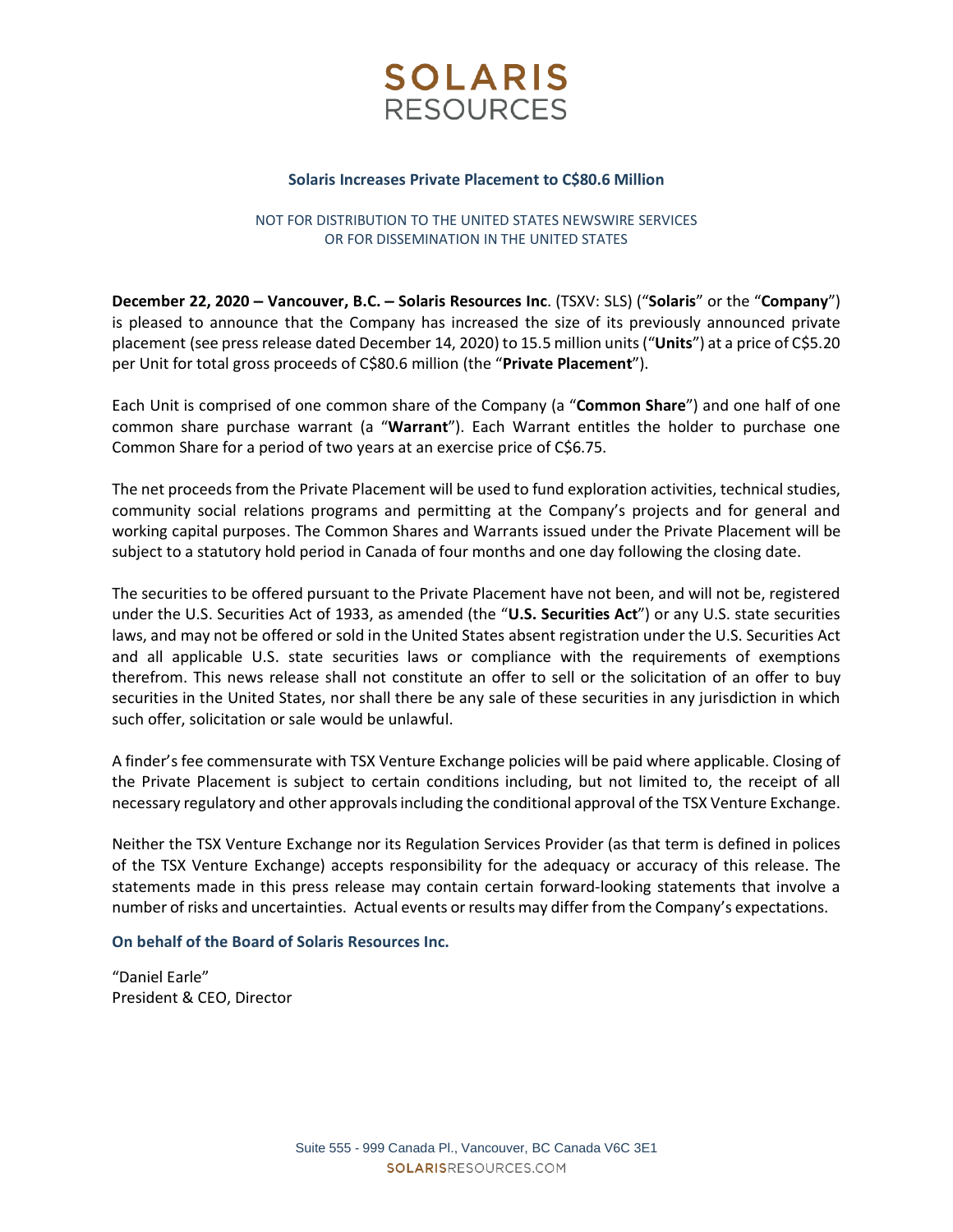

#### **Solaris Increases Private Placement to C\$80.6 Million**

# NOT FOR DISTRIBUTION TO THE UNITED STATES NEWSWIRE SERVICES OR FOR DISSEMINATION IN THE UNITED STATES

**December 22, 2020 – Vancouver, B.C. – Solaris Resources Inc**. (TSXV: SLS) ("**Solaris**" or the "**Company**") is pleased to announce that the Company has increased the size of its previously announced private placement (see press release dated December 14, 2020) to 15.5 million units("**Units**") at a price of C\$5.20 per Unit for total gross proceeds of C\$80.6 million (the "**Private Placement**").

Each Unit is comprised of one common share of the Company (a "**Common Share**") and one half of one common share purchase warrant (a "**Warrant**"). Each Warrant entitles the holder to purchase one Common Share for a period of two years at an exercise price of C\$6.75.

The net proceeds from the Private Placement will be used to fund exploration activities, technical studies, community social relations programs and permitting at the Company's projects and for general and working capital purposes. The Common Shares and Warrants issued under the Private Placement will be subject to a statutory hold period in Canada of four months and one day following the closing date.

The securities to be offered pursuant to the Private Placement have not been, and will not be, registered under the U.S. Securities Act of 1933, as amended (the "**U.S. Securities Act**") or any U.S. state securities laws, and may not be offered or sold in the United States absent registration under the U.S. Securities Act and all applicable U.S. state securities laws or compliance with the requirements of exemptions therefrom. This news release shall not constitute an offer to sell or the solicitation of an offer to buy securities in the United States, nor shall there be any sale of these securities in any jurisdiction in which such offer, solicitation or sale would be unlawful.

A finder's fee commensurate with TSX Venture Exchange policies will be paid where applicable. Closing of the Private Placement is subject to certain conditions including, but not limited to, the receipt of all necessary regulatory and other approvalsincluding the conditional approval of the TSX Venture Exchange.

Neither the TSX Venture Exchange nor its Regulation Services Provider (as that term is defined in polices of the TSX Venture Exchange) accepts responsibility for the adequacy or accuracy of this release. The statements made in this press release may contain certain forward-looking statements that involve a number of risks and uncertainties. Actual events or results may differ from the Company's expectations.

## **On behalf of the Board of Solaris Resources Inc.**

"Daniel Earle" President & CEO, Director